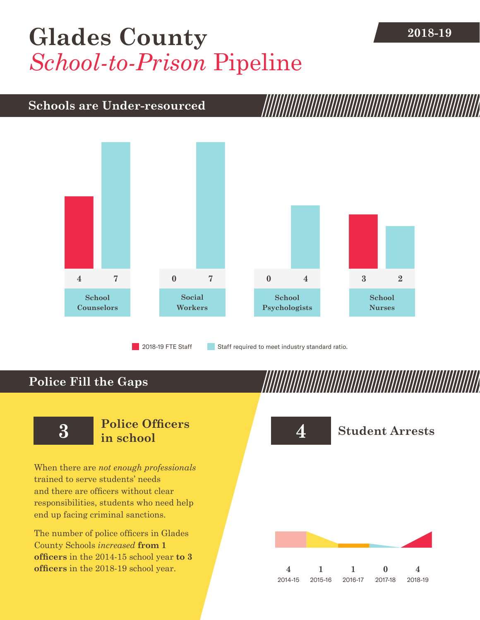## [Glades County](DBF_County) 2018-19 *School-to-Prison* Pipeline

### **Schools are Under-resourced**



2018-19 FTE Staff **Staff required to meet industry standard ratio.** 

## **Police Fill the Gaps**

When there are *not enough professionals* trained to serve students' needs and there are officers without clear responsibilities, students who need help end up facing criminal sanctions.

The number of police officers in [Glades](DBF_County)  [County](DBF_County) Schools *increased* **from [1](DBF_PO1415) officers** in the 2014-15 school year **to [3](DBF_PO) officers** in the 2018-19 school year.